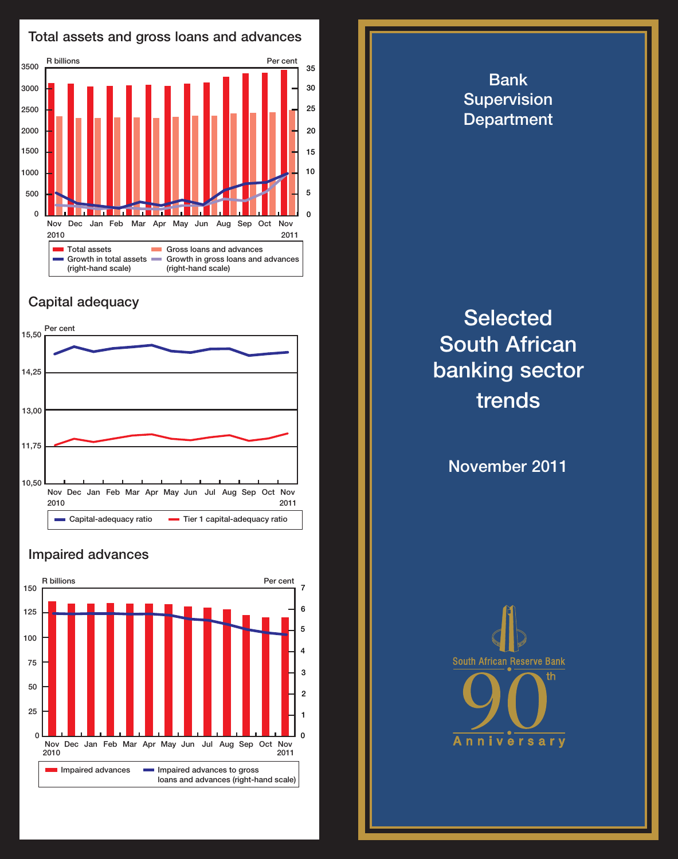

## Capital adequacy



### Impaired advances



Bank **Supervision Department** 

# **Selected** South African banking sector trends

November 2011